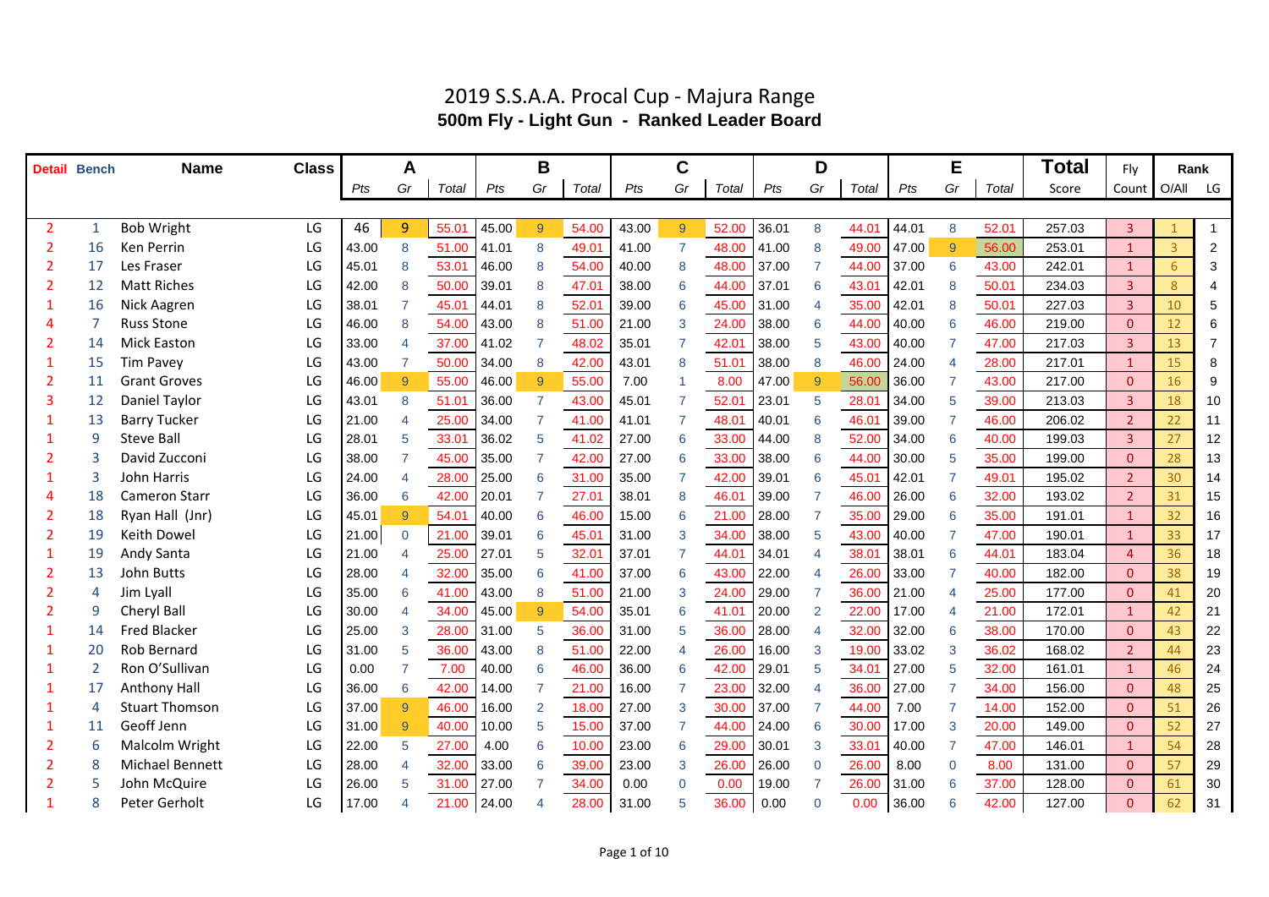#### **Detail Bench Name Class Total** Fly *Pts Gr Total Pts Gr Total Pts Gr Total Pts Gr Total Pts Gr Total* Score Count O/All LG 2 1 Bob Wright LG | 46 <mark> 9 |</mark> 55.01 |45.00 <mark> 9 | 54.00 | 43.00 9 |</mark> 52.00 | 36.01 8 44.01 | 44.01 8 52.01 | 257.03 | 3 | <mark>1 </mark>| 1 2 16 Ken Perrin LG |43.00 8 51.00 |41.01 8 49.01 | 41.00 7 48.00 |41.00 8 49.00 | 47.00 9 56.00 253.01 | 1 3 2 2 17 Les Fraser LG |45.01 8 53.01 |46.00 8 54.00 | 40.00 8 48.00 |37.00 7 44.00 |37.00 6 43.00 | 242.01 | 1 <mark>6 </mark> 3 2 12 Matt Riches LG |42.00 8 50.00 | 39.01 8 47.01 | 38.00 6 44.00 | 37.01 6 43.01 | 42.01 8 50.01 | 234.03 | 3 | 8 | 4 1 16 Nick Aagren LG | 38.01 7 45.01 | 44.01 8 52.01 | 39.00 6 45.00 | 31.00 4 35.00 | 42.01 8 50.01 | 227.03 | 3 <mark> 10 </mark> 5 4 7 Russ Stone LG |46.00 8 54.00 | 43.00 8 51.00 | 21.00 3 24.00 | 38.00 6 44.00 | 40.00 6 46.00 | 219.00 <mark> 0 12 </mark> 6 2 14 Mick Easton LG | 33.00 4 37.00 | 41.02 7 48.02 | 35.01 7 42.01 | 38.00 5 43.00 | 40.00 7 47.00 | 217.03 | 3 | 13 | 7 1 15 Tim Pavey LG |43.00 7 50.00 |34.00 8 42.00 | 43.01 8 51.01 | 38.00 8 46.00 | 24.00 4 28.00 | 217.01 | 1 <mark>15 </mark> 8 2 11 Grant Groves 2 20 20 200 0 200 0 46.00 9 55.00 0 55.00 7.00 1 8.00 0 47.00 9 56.00 36.00 7 43.00 217.00 0 16 9 3 12 Daniel Taylor LG | 43.01 8 51.01 | 36.00 7 43.00 | 45.01 7 52.01 | 23.01 5 28.01 | 34.00 5 39.00 | 213.03 | 3 | 18 | 10 1 13 Barry Tucker LG |21.00 4 25.00 |34.00 7 41.00 | 41.01 7 48.01 |40.01 6 46.01 |39.00 7 46.00 206.02 | 2 | 22 | 11 1 9 Steve Ball LG |28.01 5 33.01 | 36.02 5 41.02 | 27.00 6 33.00 | 44.00 8 52.00 | 34.00 6 40.00 199.03 | 3 | 27 | 12 2 3 David Zucconi LG | 38.00 7 45.00 | 35.00 7 42.00 | 27.00 6 33.00 | 38.00 6 44.00 | 30.00 5 35.00 199.00 0 <mark>28</mark> 13 1 3 John Harris LG 24.00 4 28.00 25.00 6 31.00 35.00 7 42.00 39.01 6 45.01 42.01 7 49.01 195.02 2 30 14 4 18 Cameron Starr LG 36.00 6 42.00 20.01 7 27.01 38.01 8 46.01 39.00 7 46.00 26.00 6 32.00 193.02 2 31 15 2 18 Ryan Hall (Jnr) LG |45.01<mark> 9 </mark> 54.01 |40.00 6 46.00 | 15.00 6 21.00 |28.00 7 35.00 | 29.00 6 35.00 | 191.01 <mark>| 1 32 </mark> 16 2 19 Keith Dowel LG 21.00 0 21.00 39.01 6 45.01 31.00 3 34.00 38.00 5 43.00 40.00 7 47.00 190.01 1 33 17 1 19 Andy Santa LG | 21.00 4 25.00 | 27.01 5 32.01 | 37.01 7 44.01 | 34.01 4 38.01 | 38.01 6 44.01 | 183.04 | 4 36 18 2 13 John Butts LG 28.00 4 32.00 35.00 6 41.00 37.00 6 43.00 22.00 4 26.00 33.00 7 40.00 182.00 0 38 19 2 4 Jim Lyall LG |35.00 6 41.00 |43.00 8 51.00 | 21.00 3 24.00 | 29.00 7 36.00 | 21.00 4 25.00 | 177.00 0 41 20 2 9 Cheryl Ball LG 30.00 4 34.00 45.00 9 54.00 35.01 6 41.01 20.00 2 22.00 17.00 4 21.00 172.01 1 42 21 1 14 Fred Blacker LG |25.00 3 28.00 |31.00 5 36.00 | 31.00 5 36.00 | 28.00 4 32.00 | 32.00 6 38.00 | 170.00 | 0 | 43 | 22 1 20 Rob Bernard LG | 31.00 5 36.00 | 43.00 8 51.00 | 22.00 4 26.00 | 16.00 3 19.00 | 33.02 3 36.02 168.02 2 44 23 1 2 Ron O'Sullivan LG 0.00 7 7.00 40.00 6 46.00 36.00 6 42.00 29.01 5 34.01 27.00 5 32.00 161.01 1 46 24 1 17 Anthony Hall LG 36.00 6 42.00 14.00 7 21.00 16.00 7 23.00 32.00 4 36.00 27.00 7 34.00 156.00 0 48 25 1 4 Stuart Thomson LG 37.00 9 46.00 16.00 2 18.00 27.00 3 30.00 37.00 7 44.00 7.00 7 14.00 152.00 0 51 26 1 11 Geoff Jenn LG |31.00 9 40.00 | 10.00 5 15.00 | 37.00 7 44.00 | 24.00 6 30.00 | 17.00 3 20.00 | 149.00 | 0 | 52 27 2 6 Malcolm Wright LG 22.00 5 27.00 4.00 6 10.00 23.00 6 29.00 30.01 3 33.01 40.00 7 47.00 146.01 1 54 28 2 8 Michael Bennett LG 28.00 4 32.00 33.00 6 39.00 23.00 3 26.00 26.00 0 26.00 8.00 0 8.00 131.00 0 57 29 2 5 John McQuire LG 26.00 5 31.00 27.00 7 34.00 0.00 0 0.00 19.00 7 26.00 31.00 6 37.00 128.00 0 61 30 **A B C D E Rank**

#### 2019 S.S.A.A. Procal Cup - Majura Range **500m Fly - Light Gun - Ranked Leader Board**

1 8 Peter Gerholt LG |17.00 4 21.00 |24.00 4 28.00 |31.00 5 36.00 |0.00 0 0.00 |36.00 6 42.00 | 127.00 | 0 62 31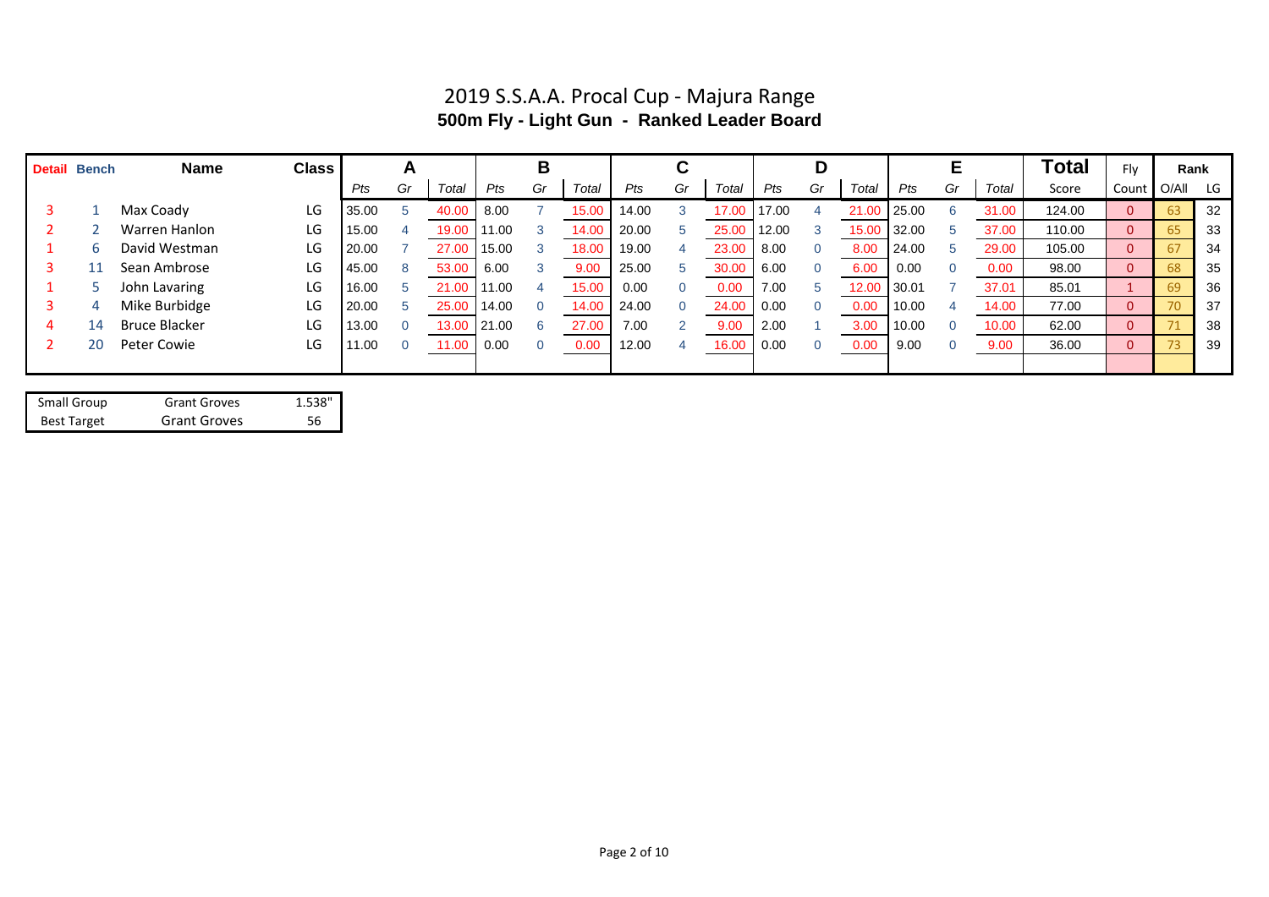## 2019 S.S.A.A. Procal Cup - Majura Range **500m Fly - Light Gun - Ranked Leader Board**

|   | <b>Detail Bench</b> | <b>Name</b>          | <b>Class</b> |       | A        |       |       | в        |       |       |    |       |       |    |       |       |    |       | Total  | Fly          | Rank |     |
|---|---------------------|----------------------|--------------|-------|----------|-------|-------|----------|-------|-------|----|-------|-------|----|-------|-------|----|-------|--------|--------------|------|-----|
|   |                     |                      |              | Pts   | Gr       | Total | Pts   | Gr       | Total | Pts   | Gr | Total | Pts   | Gr | Total | Pts   | Gr | Total | Score  | Count        | O/AI | LG  |
|   |                     | Max Coady            | LG           | 35.00 |          | 40.0  | 8.00  |          | 15.00 | 14.00 |    | 17.00 | 17.00 |    | 21.00 | 25.00 |    | 31.00 | 124.00 | $\mathbf{0}$ | 63   | 32  |
|   |                     | Warren Hanlon        | LG           | 15.00 |          | 19.00 | 11.00 |          | 14.00 | 20.00 |    | 25.00 | 12.00 |    | 15.00 | 32.00 |    | 37.00 | 110.00 | $\mathbf{0}$ | 65   | 33  |
|   | 6.                  | David Westman        | LG           | 20.00 |          | 27.00 | 15.00 |          | 18.00 | 19.00 |    | 23.00 | 8.00  |    | 8.00  | 24.00 |    | 29.00 | 105.00 | $\mathbf{0}$ | 67   | -34 |
|   |                     | Sean Ambrose         | LG           | 45.00 |          | 53.00 | 6.00  |          | 9.00  | 25.00 |    | 30.00 | 6.00  |    | 6.00  | 0.00  |    | 0.00  | 98.00  | $\theta$     | 68   | 35  |
|   |                     | John Lavaring        | LG           | 16.00 |          | 21.00 | 11.00 |          | 15.00 | 0.00  |    | 0.00  | 7.00  |    | 12.00 | 30.01 |    | 37.01 | 85.01  |              | 69   | 36  |
|   | 4                   | Mike Burbidge        | LG           | 20.00 |          | 25.00 | 14.00 |          | 14.00 | 24.00 |    | 24.00 | 0.00  |    | 0.00  | 10.00 |    | 14.00 | 77.00  | $\mathbf{0}$ | 70   | 37  |
| 4 | 14                  | <b>Bruce Blacker</b> | LG           | 13.00 |          | 13.00 | 21.00 | 6        | 27.00 | 7.00  |    | 9.00  | 2.00  |    | 3.00  | 10.00 |    | 10.00 | 62.00  | $\mathbf{0}$ | 71   | 38  |
|   | 20                  | Peter Cowie          | LG           | 11.00 | $\Omega$ | 11.00 | 0.00  | $\Omega$ | 0.00  | 12.00 |    | 16.00 | 0.00  |    | 0.00  | 9.00  |    | 9.00  | 36.00  | $\mathbf{0}$ | 73   | 39  |
|   |                     |                      |              |       |          |       |       |          |       |       |    |       |       |    |       |       |    |       |        |              |      |     |

| Small Group        | <b>Grant Groves</b> | 1.538" |
|--------------------|---------------------|--------|
| <b>Best Target</b> | <b>Grant Groves</b> | 56     |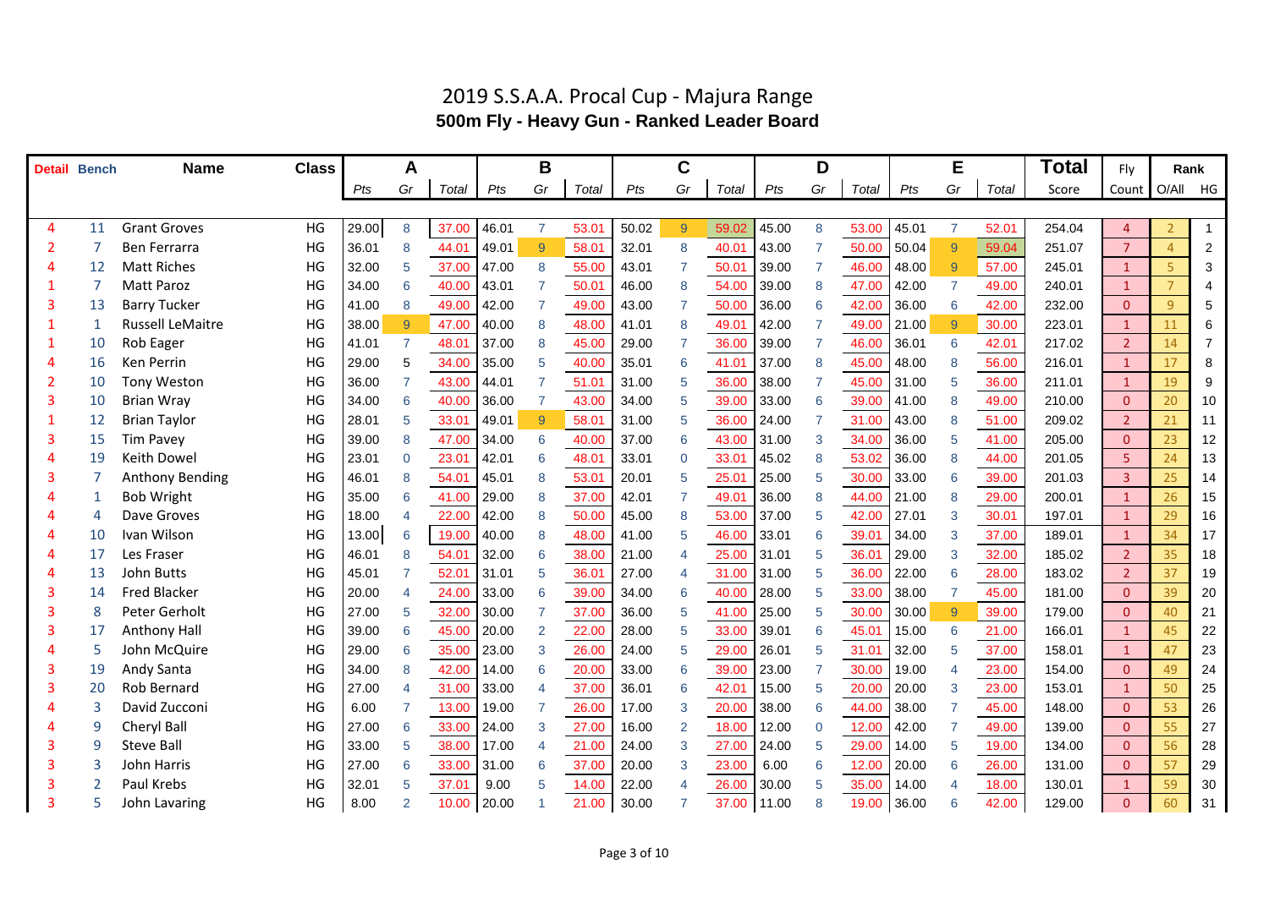|                | <b>Detail Bench</b> | <b>Name</b>             | <b>Class</b> |       | A                        |                |       | B              |       |       | $\mathbf C$    |       |       | D              |       |       | Е               |       | Total  | Fly            | Rank           |                |
|----------------|---------------------|-------------------------|--------------|-------|--------------------------|----------------|-------|----------------|-------|-------|----------------|-------|-------|----------------|-------|-------|-----------------|-------|--------|----------------|----------------|----------------|
|                |                     |                         |              | Pts   | Gr                       | Total          | Pts   | Gr             | Total | Pts   | Gr             | Total | Pts   | Gr             | Total | Pts   | Gr              | Total | Score  | Count          | O/All          | HG             |
|                |                     |                         |              |       |                          |                |       |                |       |       |                |       |       |                |       |       |                 |       |        |                |                |                |
| $\overline{4}$ | 11                  | <b>Grant Groves</b>     | HG           | 29.00 | $\boldsymbol{8}$         | 37.00          | 46.01 | $\overline{7}$ | 53.01 | 50.02 | $\overline{9}$ | 59.02 | 45.00 | 8              | 53.00 | 45.01 | $\overline{7}$  | 52.01 | 254.04 | $\overline{4}$ |                | $\overline{1}$ |
| $\overline{2}$ | $\overline{7}$      | Ben Ferrarra            | HG           | 36.01 | 8                        | 44.01          | 49.01 | $\overline{9}$ | 58.01 | 32.01 | $\mathsf{R}$   | 40.01 | 43.00 | $\overline{7}$ | 50.00 | 50.04 | $\overline{9}$  | 59.04 | 251.07 | $\overline{7}$ | $\overline{4}$ | $\overline{2}$ |
| 4              | 12                  | <b>Matt Riches</b>      | HG           | 32.00 | 5                        | 37.00          | 47.00 | 8              | 55.00 | 43.01 |                | 50.01 | 39.00 | $\overline{7}$ | 46.00 | 48.00 | $\overline{9}$  | 57.00 | 245.01 | $\mathbf{1}$   | 5 <sup>1</sup> | 3              |
|                | 7                   | Matt Paroz              | HG           | 34.00 | 6                        | 40.00          | 43.01 |                | 50.01 | 46.00 |                | 54.00 | 39.00 | 8              | 47.00 | 42.00 | $\overline{7}$  | 49.00 | 240.01 | $\mathbf{1}$   | $\overline{7}$ |                |
| 3              | 13                  | <b>Barry Tucker</b>     | HG           | 41.00 | 8                        | 49.00          | 42.00 |                | 49.00 | 43.00 |                | 50.00 | 36.00 | 6              | 42.00 | 36.00 | 6               | 42.00 | 232.00 | $\overline{0}$ | $\overline{9}$ | 5              |
|                | -1                  | <b>Russell LeMaitre</b> | HG           | 38.00 | 9                        | 47.00          | 40.00 | 8              | 48.00 | 41.01 |                | 49.01 | 42.00 |                | 49.00 | 21.00 | $\mathbf{q}$    | 30.00 | 223.01 | $1\,$          | 11             | 6              |
|                | 10                  | Rob Eager               | HG           | 41.01 | $\overline{7}$           | 48.0           | 37.00 | 8              | 45.00 | 29.00 |                | 36.00 | 39.00 | 7              | 46.00 | 36.01 | 6               | 42.01 | 217.02 | $\overline{2}$ | 14             |                |
| 4              | 16                  | Ken Perrin              | HG           | 29.00 | 5                        | 34.00          | 35.00 | 5              | 40.00 | 35.01 | 6              | 41.01 | 37.00 | 8              | 45.00 | 48.00 | $\mathsf{R}$    | 56.00 | 216.01 | $\mathbf{1}$   | 17             | 8              |
| $\overline{2}$ | 10                  | <b>Tony Weston</b>      | HG           | 36.00 | $\overline{7}$           | 43.00          | 44.01 |                | 51.01 | 31.00 |                | 36.00 | 38.00 | $\overline{7}$ | 45.00 | 31.00 | 5               | 36.00 | 211.01 | $\mathbf{1}$   | 19             | 9              |
| 3              | 10                  | <b>Brian Wray</b>       | HG           | 34.00 | 6                        | 40.00          | 36.00 | $\overline{7}$ | 43.00 | 34.00 |                | 39.00 | 33.00 | 6              | 39.00 | 41.00 | 8               | 49.00 | 210.00 | $\overline{0}$ | 20             | 10             |
| 1              | 12                  | <b>Brian Taylor</b>     | HG           | 28.01 | 5                        | 33.01          | 49.01 | $\overline{9}$ | 58.01 | 31.00 |                | 36.00 | 24.00 |                | 31.00 | 43.00 | 8               | 51.00 | 209.02 | $\overline{2}$ | 21             | 11             |
| 3              | 15                  | <b>Tim Pavey</b>        | HG           | 39.00 | 8                        | 47.00          | 34.00 | 6              | 40.00 | 37.00 |                | 43.00 | 31.00 | 3              | 34.00 | 36.00 | 5               | 41.00 | 205.00 | $\overline{0}$ | 23             | 12             |
| Δ              | 19                  | <b>Keith Dowel</b>      | HG           | 23.01 | 0                        | 23.0           | 42.01 | 6              | 48.01 | 33.01 |                | 33.01 | 45.02 | 8              | 53.02 | 36.00 | 8               | 44.00 | 201.05 | 5              | 24             | 13             |
|                | 7                   | <b>Anthony Bending</b>  | HG           | 46.01 | 8                        | 54.01          | 45.01 | 8              | 53.01 | 20.01 |                | 25.01 | 25.00 | 5              | 30.00 | 33.00 | $6\phantom{1}6$ | 39.00 | 201.03 | $\overline{3}$ | 25             | 14             |
|                | 1                   | <b>Bob Wright</b>       | HG           | 35.00 | 6                        | 41.00          | 29.00 | 8              | 37.00 | 42.01 |                | 49.01 | 36.00 | 8              | 44.00 | 21.00 | 8               | 29.00 | 200.01 | $\mathbf{1}$   | 26             | 15             |
|                | $\Delta$            | Dave Groves             | HG           | 18.00 | $\overline{\mathcal{A}}$ | 22.00          | 42.00 | 8              | 50.00 | 45.00 |                | 53.00 | 37.00 | 5              | 42.00 | 27.01 | 3               | 30.01 | 197.01 | $\mathbf{1}$   | 29             | 16             |
|                | 10                  | Ivan Wilson             | HG           | 13.00 | $6\phantom{1}6$          | 19.00          | 40.00 | 8              | 48.00 | 41.00 |                | 46.00 | 33.01 | 6              | 39.01 | 34.00 | 3               | 37.00 | 189.01 | $\mathbf{1}$   | 34             | 17             |
| 4              | 17                  | Les Fraser              | HG           | 46.01 | 8                        | 54.01          | 32.00 | 6              | 38.00 | 21.00 |                | 25.00 | 31.01 | 5              | 36.01 | 29.00 | 3               | 32.00 | 185.02 | $\overline{2}$ | 35             | 18             |
| 4              | 13                  | John Butts              | HG           | 45.01 |                          | $52.0^{\circ}$ | 31.01 | 5              | 36.01 | 27.00 |                | 31.00 | 31.00 | 5              | 36.00 | 22.00 | 6               | 28.00 | 183.02 | $\overline{2}$ | 37             | 19             |
|                | 14                  | <b>Fred Blacker</b>     | HG           | 20.00 | 4                        | 24.00          | 33.00 | 6              | 39.00 | 34.00 | 6              | 40.00 | 28.00 | 5              | 33.00 | 38.00 | $\overline{7}$  | 45.00 | 181.00 | $\overline{0}$ | 39             | 20             |
|                | 8                   | Peter Gerholt           | HG           | 27.00 | 5                        | 32.00          | 30.00 |                | 37.00 | 36.00 |                | 41.00 | 25.00 | 5              | 30.00 | 30.00 | $\overline{9}$  | 39.00 | 179.00 | $\overline{0}$ | 40             | 21             |
| 3              | 17                  | Anthony Hall            | HG           | 39.00 | 6                        | 45.00          | 20.00 | 2              | 22.00 | 28.00 |                | 33.00 | 39.01 | 6              | 45.01 | 15.00 | 6               | 21.00 | 166.01 | $\mathbf{1}$   | 45             | 22             |
|                | 5                   | John McQuire            | HG           | 29.00 | 6                        | 35.00          | 23.00 | 3              | 26.00 | 24.00 |                | 29.00 | 26.01 | 5              | 31.01 | 32.00 | 5               | 37.00 | 158.01 | $\mathbf{1}$   | 47             | 23             |
|                | 19                  | <b>Andy Santa</b>       | HG           | 34.00 | 8                        | 42.00          | 14.00 | 6              | 20.00 | 33.00 |                | 39.00 | 23.00 | 7              | 30.00 | 19.00 |                 | 23.00 | 154.00 | $\overline{0}$ | 49             | 24             |
|                | 20                  | Rob Bernard             | HG           | 27.00 | 4                        | 31.00          | 33.00 |                | 37.00 | 36.01 | 6              | 42.01 | 15.00 | 5              | 20.00 | 20.00 | 3               | 23.00 | 153.01 | $\mathbf{1}$   | 50             | 25             |
|                | 3                   | David Zucconi           | HG           | 6.00  | $\overline{7}$           | 13.00          | 19.00 |                | 26.00 | 17.00 |                | 20.00 | 38.00 | 6              | 44.00 | 38.00 | $\overline{7}$  | 45.00 | 148.00 | $\overline{0}$ | 53             | 26             |
|                | 9                   | Cheryl Ball             | HG           | 27.00 | 6                        | 33.00          | 24.00 | 3              | 27.00 | 16.00 |                | 18.00 | 12.00 | $\overline{0}$ | 12.00 | 42.00 | 7               | 49.00 | 139.00 | $\overline{0}$ | 55             | 27             |
| 3              | 9                   | <b>Steve Ball</b>       | HG           | 33.00 | 5                        | 38.00          | 17.00 | 4              | 21.00 | 24.00 |                | 27.00 | 24.00 | 5              | 29.00 | 14.00 | 5               | 19.00 | 134.00 | $\overline{0}$ | 56             | 28             |
| 3              |                     | John Harris             | HG           | 27.00 | 6                        | 33.00          | 31.00 | 6              | 37.00 | 20.00 |                | 23.00 | 6.00  | 6              | 12.00 | 20.00 | 6               | 26.00 | 131.00 | $\overline{0}$ | 57             | 29             |
|                |                     | Paul Krebs              | HG           | 32.01 | 5                        | 37.0'          | 9.00  | 5              | 14.00 | 22.00 |                | 26.00 | 30.00 | 5              | 35.00 | 14.00 |                 | 18.00 | 130.01 | $\mathbf{1}$   | 59             | 30             |
|                | 5                   | John Lavaring           | HG           | 8.00  | $\overline{2}$           | 10.00          | 20.00 |                | 21.00 | 30.00 |                | 37.00 | 11.00 | 8              | 19.00 | 36.00 | 6               | 42.00 | 129.00 | $\mathbf{0}$   | 60             | 31             |

### 2019 S.S.A.A. Procal Cup - Majura Range **500m Fly - Heavy Gun - Ranked Leader Board**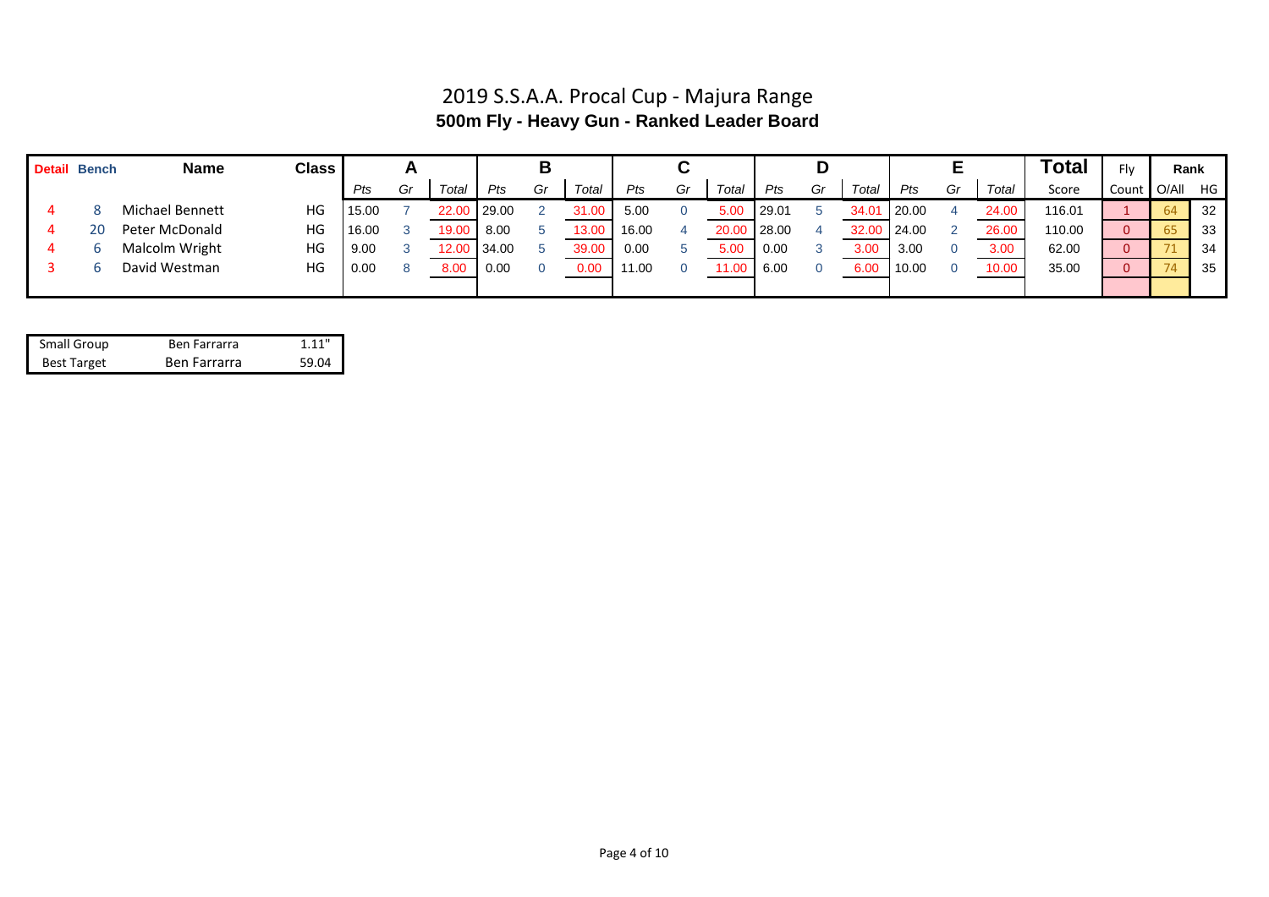## 2019 S.S.A.A. Procal Cup - Majura Range **500m Fly - Heavy Gun - Ranked Leader Board**

| <b>Detail Bench</b> | <b>Name</b>     | <b>Class</b> |       |    |       |       | В  |       |       |    |       |       | υ  |       |              |    |       | Total  | Flv         | Rank |      |
|---------------------|-----------------|--------------|-------|----|-------|-------|----|-------|-------|----|-------|-------|----|-------|--------------|----|-------|--------|-------------|------|------|
|                     |                 |              | Pts   | Gr | Total | Pts   | Gr | Total | Pts   | Gr | Total | Pts   | Gr | Total | Pts          | Gr | Total | Score  | Count O/All |      | HG   |
|                     | Michael Bennett | HG           | 15.00 |    | 22.00 | 29.00 |    | 31.00 | 5.00  |    | 5.0(  | 29.01 |    | 34.01 | 20.00        |    | 24.00 | 116.01 |             | 64   | 32   |
| 20                  | Peter McDonald  | HG           | 16.00 |    | 19.00 | 8.00  |    | 13.00 | 16.00 |    | 20.00 | 28.00 |    | 32.00 | $\mid$ 24.00 |    | 26.00 | 110.00 |             | 65   | - 33 |
|                     | Malcolm Wright  | HG           | 9.00  |    | 12.00 | 34.00 |    | 39.00 | 0.00  |    | 5.00  | 0.00  |    | 3.00  | 3.00         |    | 3.00  | 62.00  |             |      | 34   |
|                     | David Westman   | HG           | 0.00  |    | 8.00  | 0.00  |    | 0.00  | 11.00 |    | 00.1  | 6.00  |    | 6.00  | 10.00        |    | 10.00 | 35.00  |             | 74   | 35   |
|                     |                 |              |       |    |       |       |    |       |       |    |       |       |    |       |              |    |       |        |             |      |      |

| Small Group        | Ben Farrarra | 1.11" |
|--------------------|--------------|-------|
| <b>Best Target</b> | Ben Farrarra | 59.04 |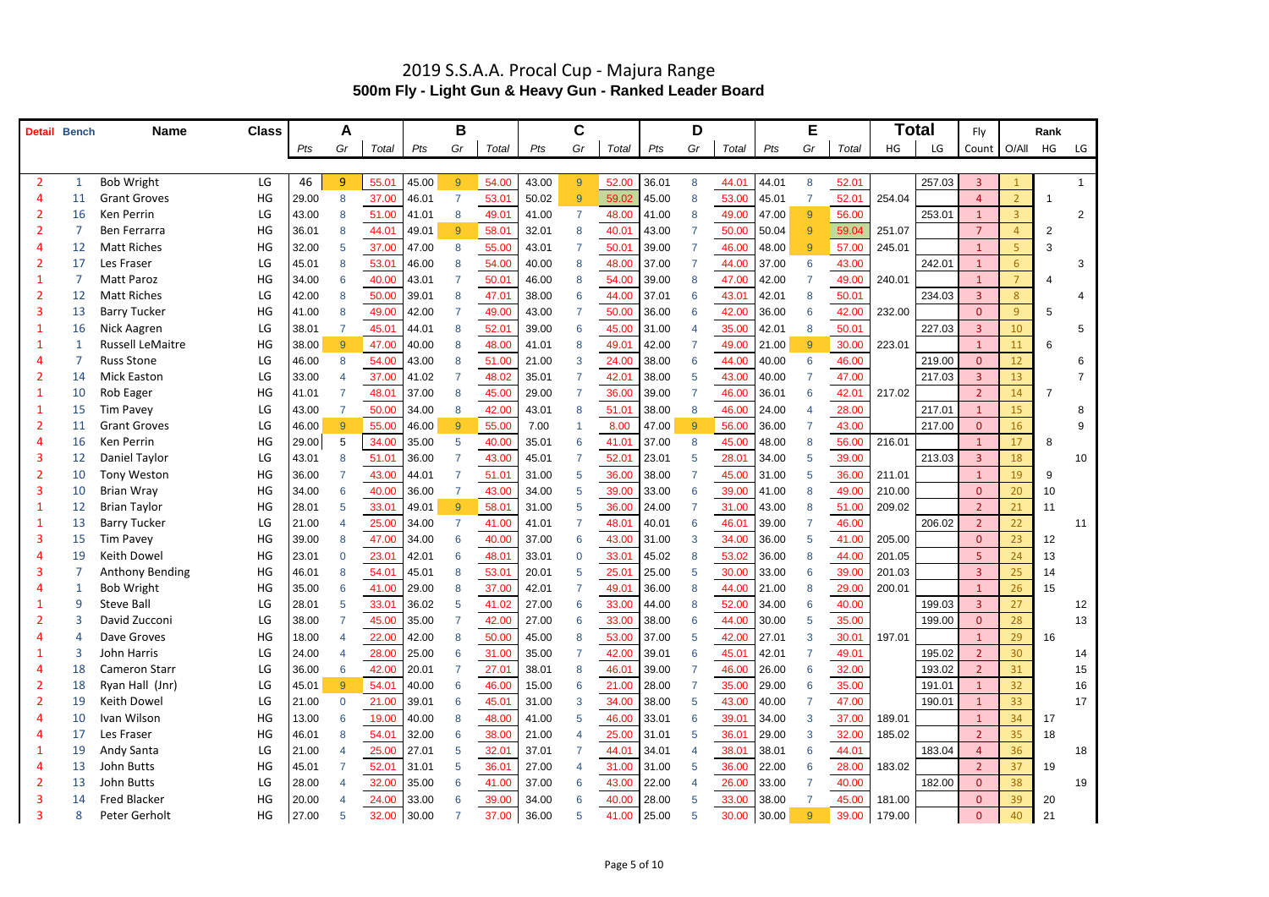|   | <b>Detail Bench</b> | <b>Name</b>             | <b>Class</b> |       | A                        |             |        | B              |       |       | C        |             |       | D  |       |             | Е              |       |        | Total  | Fly            |                | Rank           |                 |
|---|---------------------|-------------------------|--------------|-------|--------------------------|-------------|--------|----------------|-------|-------|----------|-------------|-------|----|-------|-------------|----------------|-------|--------|--------|----------------|----------------|----------------|-----------------|
|   |                     |                         |              | Pts   | Gr                       | Total       | $P$ ts | Gr             | Total | Pts   | Gr       | Total       | Pts   | Gr | Total | Pts         | Gr             | Total | HG     | LG     | Count   O/All  |                | HG             | LG              |
|   |                     |                         |              |       |                          |             |        |                |       |       |          |             |       |    |       |             |                |       |        |        |                |                |                |                 |
|   |                     | <b>Bob Wright</b>       | LG           | 46    | 9                        | 55.01       | 45.00  | 9              | 54.00 | 43.00 | 9        | 52.00       | 36.01 | 8  | 44.01 | 44.01       | 8              | 52.01 |        | 257.03 | $\overline{3}$ |                |                |                 |
|   |                     | <b>Grant Groves</b>     | HG           | 29.00 | 8                        | 37.00       | 46.01  | $\overline{7}$ | 53.01 | 50.02 | 9        | 59.02       | 45.00 | -8 | 53.00 | 45.01       |                | 52.01 | 254.04 |        | $\Delta$       | $\overline{2}$ |                |                 |
|   | 16                  | Ken Perrin              | LG           | 43.00 | 8                        | 51.00       | 41.01  | 8              | 49.01 | 41.00 |          | 48.00       | 41.00 | -8 | 49.00 | 47.00       | - Q            | 56.00 |        | 253.01 |                | $\mathbf{3}$   |                | 2               |
|   |                     | Ben Ferrarra            | HG           | 36.01 | 8                        | 44.01       | 49.01  | $9^{\circ}$    | 58.01 | 32.01 |          | 40.01       | 43.00 |    | 50.00 | 50.04       | -9             | 59.04 | 251.07 |        | $\overline{7}$ |                | $\overline{2}$ |                 |
|   | 12                  | <b>Matt Riches</b>      | HG           | 32.00 | 5                        | 37.00       | 47.00  | 8              | 55.00 | 43.01 |          | 50.01       | 39.00 |    | 46.00 | 48.00       | -9             | 57.00 | 245.01 |        | $\mathbf{1}$   | 5.             | 3              |                 |
|   |                     | Les Fraser              | LG           | 45.01 | 8                        | 53.01       | 46.00  | 8              | 54.00 | 40.00 | 8        | 48.00       | 37.00 |    | 44.00 | 37.00       | 6              | 43.00 |        | 242.01 |                | 6              |                | 3               |
|   |                     | <b>Matt Paroz</b>       | HG           | 34.00 | 6                        | 40.00       | 43.01  |                | 50.01 | 46.00 | 8        | 54.00       | 39.00 | 8  | 47.00 | 42.00       |                | 49.00 | 240.01 |        | $\mathbf{1}$   | $\overline{7}$ |                |                 |
|   |                     | <b>Matt Riches</b>      | LG           | 42.00 | 8                        | 50.00       | 39.01  | 8              | 47.01 | 38.00 |          | 44.00       | 37.01 | -6 | 43.01 | 42.01       | 8              | 50.01 |        | 234.03 | $\overline{3}$ | 8              |                | 4               |
|   | 13                  | <b>Barry Tucker</b>     | HG           | 41.00 | 8                        | 49.00       | 42.00  | 7              | 49.00 | 43.00 |          | 50.00       | 36.00 | -6 | 42.00 | 36.00       | 6              | 42.00 | 232.00 |        | $\Omega$       | 9              | 5              |                 |
|   | 16                  | Nick Aagren             | LG           | 38.01 |                          | 45.01       | 44.01  | 8              | 52.01 | 39.00 |          | 45.00       | 31.00 |    | 35.00 | 42.01       | 8              | 50.01 |        | 227.03 | 3              | 10             |                | 5               |
|   |                     | <b>Russell LeMaitre</b> | HG           | 38.00 | 9                        | 47.00       | 40.00  | 8              | 48.00 | 41.01 |          | 49.01       | 42.00 |    | 49.00 | 21.00       | $\overline{Q}$ | 30.00 | 223.01 |        |                | 11             | 6              |                 |
|   |                     | <b>Russ Stone</b>       | LG           | 46.00 | 8                        | 54.00       | 43.00  | 8              | 51.00 | 21.00 | 3        | 24.00       | 38.00 | -6 | 44.00 | 40.00       | 6              | 46.00 |        | 219.00 | $\overline{0}$ | 12             |                | 6               |
|   | 14                  | <b>Mick Easton</b>      | LG           | 33.00 | $\boldsymbol{\varDelta}$ | 37.00       | 41.02  |                | 48.02 | 35.01 |          | 42.01       | 38.00 | -5 | 43.00 | 40.00       |                | 47.00 |        | 217.03 | $\overline{3}$ | 13             |                |                 |
|   |                     | Rob Eager               | HG           | 41.01 |                          | 48.01       | 37.00  | 8              | 45.00 | 29.00 |          | 36.00       | 39.00 |    | 46.00 | 36.01       | 6              | 42.01 | 217.02 |        | $\overline{2}$ | 14             | 7              |                 |
|   |                     | <b>Tim Pavey</b>        | LG           | 43.00 |                          | 50.00       | 34.00  | 8              | 42.00 | 43.01 |          | 51.01       | 38.00 | -8 | 46.00 | 24.00       |                | 28.00 |        | 217.01 |                | 15             |                |                 |
|   |                     | <b>Grant Groves</b>     | LG           | 46.00 | 9                        | 55.00       | 46.00  | 9              | 55.00 | 7.00  |          | 8.00        | 47.00 | -9 | 56.00 | 36.00       |                | 43.00 |        | 217.00 | $\mathbf{0}$   | 16             |                | 9               |
|   | 16                  | Ken Perrin              | HG           | 29.00 | 5                        | 34.00       | 35.00  | 5              | 40.00 | 35.01 |          | 41.01       | 37.00 | -8 | 45.00 | 48.00       | -8             | 56.00 | 216.01 |        |                | 17             | 8              |                 |
|   |                     | Daniel Taylor           | LG           | 43.01 | 8                        | 51.01       | 36.00  |                | 43.00 | 45.01 |          | 52.01       | 23.01 | -5 | 28.01 | 34.00       | -5             | 39.00 |        | 213.03 | $\overline{3}$ | 18             |                | 10              |
|   | 10                  | Tony Weston             | HG           | 36.00 |                          | 43.00       | 44.01  |                | 51.01 | 31.00 | -5       | 36.00       | 38.00 |    | 45.00 | 31.00       | -5             | 36.00 | 211.01 |        | $\mathbf{1}$   | 19             | 9              |                 |
|   | 10                  | <b>Brian Wray</b>       | HG           | 34.00 | 6                        | 40.00       | 36.00  | 7              | 43.00 | 34.00 | -5       | 39.00       | 33.00 | 6  | 39.00 | 41.00       | 8              | 49.00 | 210.00 |        | $\mathbf{0}$   | 20             | 10             |                 |
|   |                     | <b>Brian Taylor</b>     | HG           | 28.01 | 5                        | 33.01       | 49.01  | 9              | 58.01 | 31.00 |          | 36.00       | 24.00 |    | 31.00 | 43.00       | -8             | 51.00 | 209.02 |        | $\overline{2}$ | 21             | 11             |                 |
|   |                     | <b>Barry Tucker</b>     | LG           | 21.00 |                          | 25.00       | 34.00  | 7              | 41.00 | 41.01 |          | 48.01       | 40.01 | -6 | 46.01 | 39.00       |                | 46.00 |        | 206.02 | $\overline{2}$ | 22             |                | 11              |
|   | 15                  | <b>Tim Pavey</b>        | HG           | 39.00 | 8                        | 47.00       | 34.00  | 6              | 40.00 | 37.00 |          | 43.00       | 31.00 | 3  | 34.00 | 36.00       | .5             | 41.00 | 205.00 |        | $\mathbf{0}$   | 23             | 12             |                 |
|   |                     | Keith Dowel             | HG           | 23.01 | $\overline{0}$           | 23.01       | 42.01  | 6              | 48.01 | 33.01 | $\Omega$ | 33.01       | 45.02 | -8 | 53.02 | 36.00       | -8             | 44.00 | 201.05 |        | 5              | 24             | 13             |                 |
|   |                     | <b>Anthony Bending</b>  | HG           | 46.01 | 8                        | 54.01       | 45.01  | 8              | 53.01 | 20.01 |          | 25.01       | 25.00 |    | 30.00 | 33.00       | -6             | 39.00 | 201.03 |        | 3              | 25             | 14             |                 |
|   |                     | <b>Bob Wright</b>       | HG           | 35.00 | 6                        | 41.00       | 29.00  | 8              | 37.00 | 42.01 |          | 49.01       | 36.00 | 8  | 44.00 | 21.00       | -8             | 29.00 | 200.01 |        |                | 26             | 15             |                 |
|   | 9                   | <b>Steve Ball</b>       | LG           | 28.01 | 5                        | 33.01       | 36.02  | 5              | 41.02 | 27.00 | -6       | 33.00       | 44.00 | -8 | 52.00 | 34.00       | -6             | 40.00 |        | 199.03 | 3              | 27             |                | 12 <sub>2</sub> |
|   |                     | David Zucconi           | LG           | 38.00 | 7                        | 45.00       | 35.00  |                | 42.00 | 27.00 | 6        | 33.00       | 38.00 | 6  | 44.00 | 30.00       | -5             | 35.00 |        | 199.00 | $\mathbf{0}$   | 28             |                | 13              |
|   |                     | Dave Groves             | HG           | 18.00 | $\overline{\mathcal{A}}$ | 22.00       | 42.00  | 8              | 50.00 | 45.00 |          | 53.00       | 37.00 | -5 | 42.00 | 27.01       | -3             | 30.01 | 197.01 |        | $\mathbf{1}$   | 29             | 16             |                 |
|   |                     | John Harris             | LG           | 24.00 | 4                        | 28.00       | 25.00  | 6              | 31.00 | 35.00 |          | 42.00       | 39.01 |    | 45.01 | 42.01       |                | 49.01 |        | 195.02 | $\overline{2}$ | 30             |                | 14              |
|   | 18                  | <b>Cameron Starr</b>    | LG           | 36.00 | 6                        | 42.00       | 20.01  |                | 27.01 | 38.01 | 8        | 46.01       | 39.00 |    | 46.00 | 26.00       | -6             | 32.00 |        | 193.02 | $\overline{2}$ | 31             |                | 15              |
| 2 | 18                  | Ryan Hall (Jnr)         | LG           | 45.01 | 9                        | 54.01       | 40.00  | 6              | 46.00 | 15.00 |          | 21.00       | 28.00 |    | 35.00 | 29.00       | -6             | 35.00 |        | 191.01 |                | 32             |                | 16              |
|   | 19                  | Keith Dowel             | LG           | 21.00 | $\overline{0}$           | 21.00       | 39.01  | 6              | 45.01 | 31.00 | 3        | 34.00       | 38.00 | -5 | 43.00 | 40.00       |                | 47.00 |        | 190.01 | $\mathbf{1}$   | 33             |                | 17              |
|   | 10                  | Ivan Wilson             | HG           | 13.00 | 6                        | 19.00       | 40.00  | 8              | 48.00 | 41.00 |          | 46.00       | 33.01 |    | 39.01 | 34.00       | -3             | 37.00 | 189.01 |        | $\mathbf{1}$   | 34             | 17             |                 |
|   | 17                  | Les Fraser              | HG           | 46.01 | 8                        | 54.01       | 32.00  | 6              | 38.00 | 21.00 |          | 25.00       | 31.01 | -5 | 36.01 | 29.00       | -3             | 32.00 | 185.02 |        | $\overline{2}$ | 35             | 18             |                 |
|   | 19                  | Andy Santa              | LG           | 21.00 |                          | 25.00       | 27.01  | $\overline{5}$ | 32.01 | 37.01 |          | 44.01       | 34.01 |    | 38.01 | 38.01       | -6             | 44.01 |        | 183.04 | $\overline{4}$ | 36             |                | 18              |
|   | 13                  | John Butts              | HG           | 45.01 | 7                        | 52.01       | 31.01  | $5^{\circ}$    | 36.01 | 27.00 |          | 31.00       | 31.00 | -5 | 36.00 | 22.00       | -6             | 28.00 | 183.02 |        | 2 <sup>2</sup> | 37             | 19             |                 |
|   | 13                  | John Butts              | LG           | 28.00 | $\overline{\mathcal{A}}$ | 32.00       | 35.00  | 6              | 41.00 | 37.00 | -6       | 43.00       | 22.00 |    | 26.00 | 33.00       |                | 40.00 |        | 182.00 | $\overline{0}$ | 38             |                | 19              |
|   | 14                  | <b>Fred Blacker</b>     | HG           | 20.00 | 4                        | 24.00       | 33.00  | 6              | 39.00 | 34.00 | 6        | 40.00       | 28.00 | -5 | 33.00 | 38.00       |                | 45.00 | 181.00 |        | $\mathbf{0}$   | 39             | 20             |                 |
|   |                     | Peter Gerholt           | HG           | 27.00 | $\overline{5}$           | 32.00 30.00 |        | 7              | 37.00 | 36.00 | 5        | 41.00 25.00 |       | -5 |       | 30.00 30.00 |                | 39.00 | 179.00 |        | $\mathbf{0}$   | 40             | 21             |                 |

### 2019 S.S.A.A. Procal Cup - Majura Range **500m Fly - Light Gun & Heavy Gun - Ranked Leader Board**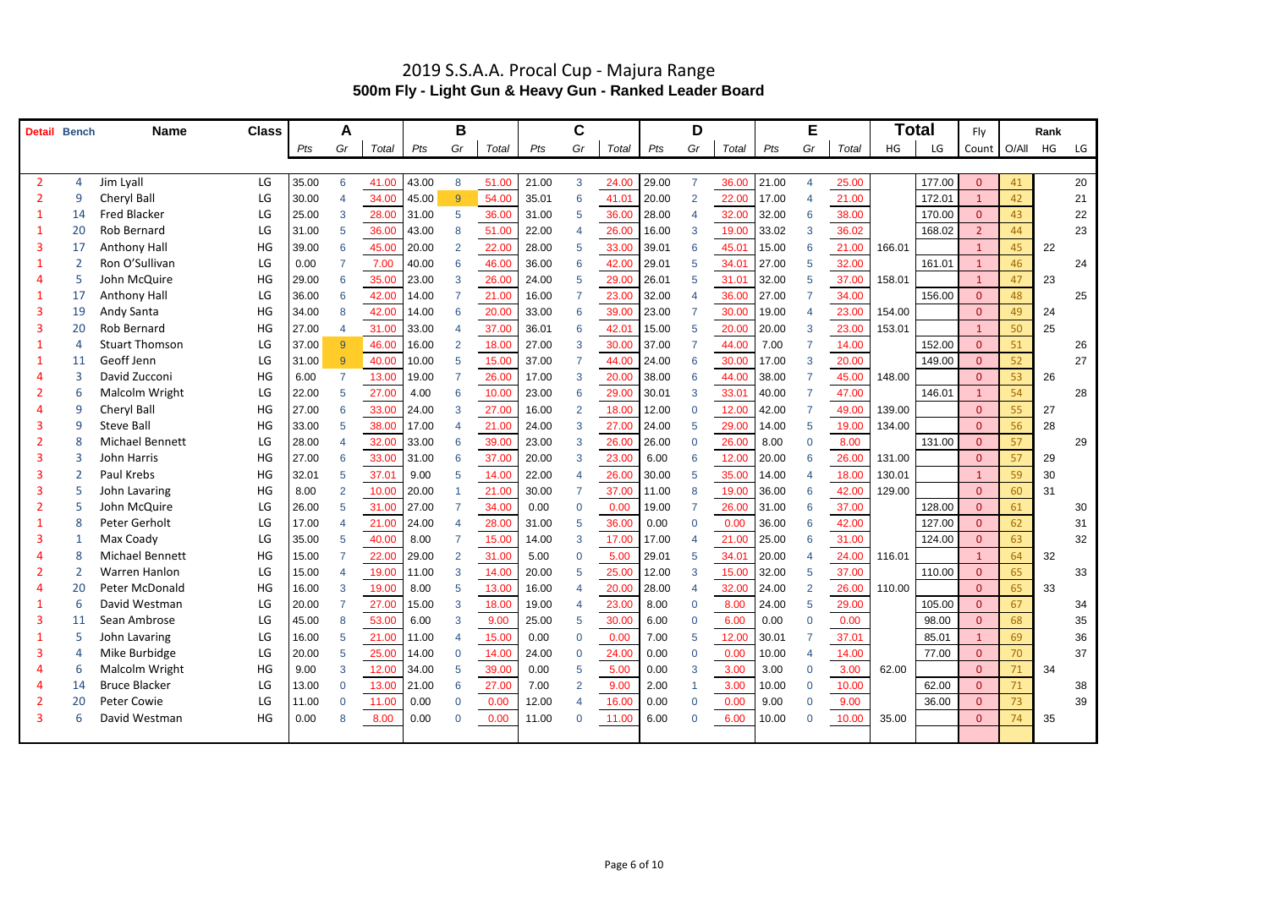### 2019 S.S.A.A. Procal Cup - Majura Range **500m Fly - Light Gun & Heavy Gun - Ranked Leader Board**

| Detail | <b>Bench</b> | <b>Name</b>            | <b>Class</b> |       | A              |       |       | Β                        |       |       | C              |       |       | D              |       |       | Е                        |       | Total  |        | Fly                     |    | Rank |    |
|--------|--------------|------------------------|--------------|-------|----------------|-------|-------|--------------------------|-------|-------|----------------|-------|-------|----------------|-------|-------|--------------------------|-------|--------|--------|-------------------------|----|------|----|
|        |              |                        |              | Pts   | Gr             | Total | Pts   | Gr                       | Total | Pts   | Gr             | Total | Pts   | Gr             | Total | Pts   | Gr                       | Total | HG     | LG     | Count O/All             |    | HG   | LG |
|        |              |                        |              |       |                |       |       |                          |       |       |                |       |       |                |       |       |                          |       |        |        |                         |    |      |    |
|        |              | Jim Lyall              | LG           | 35.00 | 6              | 41.00 | 43.00 | 8                        | 51.00 | 21.00 | 3              | 24.00 | 29.00 |                | 36.00 | 21.00 | $\Delta$                 | 25.00 |        | 177.00 | 0                       | 41 |      | 20 |
|        |              | Cheryl Ball            | LG           | 30.00 | $\overline{4}$ | 34.00 | 45.00 | 9                        | 54.00 | 35.01 | -6             | 41.01 | 20.00 | $\overline{2}$ | 22.00 | 17.00 | $\boldsymbol{\varDelta}$ | 21.00 |        | 172.01 |                         | 42 |      | 21 |
|        |              | <b>Fred Blacker</b>    | LG           | 25.00 | 3              | 28.00 | 31.00 | $\overline{5}$           | 36.00 | 31.00 | -5             | 36.00 | 28.00 |                | 32.00 | 32.00 | -6                       | 38.00 |        | 170.00 | 0                       | 43 |      | 22 |
|        | 20           | Rob Bernard            | LG           | 31.00 | 5              | 36.00 | 43.00 | 8                        | 51.00 | 22.00 |                | 26.00 | 16.00 | -3             | 19.00 | 33.02 | -3                       | 36.02 |        | 168.02 | $\overline{2}$          | 44 |      | 23 |
|        | 17           | Anthony Hall           | HG           | 39.00 | 6              | 45.00 | 20.00 | 2                        | 22.00 | 28.00 | -5             | 33.00 | 39.01 | 6              | 45.01 | 15.00 | -6                       | 21.00 | 166.01 |        | $\mathbf{1}$            | 45 | 22   |    |
|        |              | Ron O'Sullivan         | LG           | 0.00  |                | 7.00  | 40.00 | 6                        | 46.00 | 36.00 | -6             | 42.00 | 29.01 | .5             | 34.01 | 27.00 | -5                       | 32.00 |        | 161.01 | $\overline{1}$          | 46 |      | 24 |
|        |              | John McQuire           | HG           | 29.00 | 6              | 35.00 | 23.00 | 3                        | 26.00 | 24.00 | .5             | 29.00 | 26.01 | 5              | 31.01 | 32.00 | -5                       | 37.00 | 158.01 |        | $\overline{1}$          | 47 | 23   |    |
|        | 17           | <b>Anthony Hall</b>    | LG           | 36.00 | 6              | 42.00 | 14.00 |                          | 21.00 | 16.00 |                | 23.00 | 32.00 |                | 36.00 | 27.00 |                          | 34.00 |        | 156.00 | $\overline{0}$          | 48 |      | 25 |
|        | 19           | Andy Santa             | HG           | 34.00 | 8              | 42.00 | 14.00 | 6                        | 20.00 | 33.00 | 6              | 39.00 | 23.00 |                | 30.00 | 19.00 |                          | 23.00 | 154.00 |        | $\Omega$                | 49 | 24   |    |
|        | 20           | Rob Bernard            | HG           | 27.00 | 4              | 31.00 | 33.00 | $\boldsymbol{\Delta}$    | 37.00 | 36.01 | -6             | 42.01 | 15.00 | .5             | 20.00 | 20.00 | 3                        | 23.00 | 153.01 |        | $\overline{\mathbf{1}}$ | 50 | 25   |    |
|        |              | <b>Stuart Thomson</b>  | LG           | 37.00 | 9              | 46.00 | 16.00 | $\overline{2}$           | 18.00 | 27.00 | -3             | 30.00 | 37.00 |                | 44.00 | 7.00  |                          | 14.00 |        | 152.00 | $\Omega$                | 51 |      | 26 |
|        | -11          | Geoff Jenn             | LG           | 31.00 | 9              | 40.00 | 10.00 | 5                        | 15.00 | 37.00 |                | 44.00 | 24.00 | -6             | 30.00 | 17.00 | 3                        | 20.00 |        | 149.00 | $\overline{0}$          | 52 |      | 27 |
|        |              | David Zucconi          | HG           | 6.00  | $\overline{7}$ | 13.00 | 19.00 |                          | 26.00 | 17.00 | -3             | 20.00 | 38.00 | -6             | 44.00 | 38.00 |                          | 45.00 | 148.00 |        | $\Omega$                | 53 | 26   |    |
|        |              | Malcolm Wright         | LG           | 22.00 | 5              | 27.00 | 4.00  | 6                        | 10.00 | 23.00 | -6             | 29.00 | 30.01 | 3              | 33.01 | 40.00 |                          | 47.00 |        | 146.01 |                         | 54 |      | 28 |
|        |              | Cheryl Ball            | HG           | 27.00 | 6              | 33.00 | 24.00 | 3                        | 27.00 | 16.00 | $\overline{2}$ | 18.00 | 12.00 | $\overline{0}$ | 12.00 | 42.00 |                          | 49.00 | 139.00 |        | $\Omega$                | 55 | 27   |    |
|        |              | <b>Steve Ball</b>      | HG           | 33.00 | 5              | 38.00 | 17.00 | 4                        | 21.00 | 24.00 | 3              | 27.00 | 24.00 | -5             | 29.00 | 14.00 | -5                       | 19.00 | 134.00 |        | $\Omega$                | 56 | 28   |    |
|        |              | <b>Michael Bennett</b> | LG           | 28.00 | 4              | 32.00 | 33.00 | 6                        | 39.00 | 23.00 | -3             | 26.00 | 26.00 | $\overline{0}$ | 26.00 | 8.00  | 0                        | 8.00  |        | 131.00 | $\Omega$                | 57 |      | 29 |
|        |              | <b>John Harris</b>     | HG           | 27.00 | 6              | 33.00 | 31.00 | 6                        | 37.00 | 20.00 | 3              | 23.00 | 6.00  | -6             | 12.00 | 20.00 | -6                       | 26.00 | 131.00 |        | $\Omega$                | 57 | 29   |    |
| 3      |              | Paul Krebs             | HG           | 32.01 | 5              | 37.01 | 9.00  | 5                        | 14.00 | 22.00 |                | 26.00 | 30.00 | -5             | 35.00 | 14.00 |                          | 18.00 | 130.01 |        | $\overline{\mathbf{1}}$ | 59 | 30   |    |
|        |              | John Lavaring          | HG           | 8.00  | 2              | 10.00 | 20.00 |                          | 21.00 | 30.00 |                | 37.00 | 11.00 | 8              | 19.00 | 36.00 | 6                        | 42.00 | 129.00 |        | $\theta$                | 60 | 31   |    |
|        |              | John McQuire           | LG           | 26.00 | 5              | 31.00 | 27.00 |                          | 34.00 | 0.00  | $\Omega$       | 0.00  | 19.00 |                | 26.00 | 31.00 | -6                       | 37.00 |        | 128.00 | $\Omega$                | 61 |      | 30 |
|        |              | Peter Gerholt          | LG           | 17.00 |                | 21.00 | 24.00 |                          | 28.00 | 31.00 | .5             | 36.00 | 0.00  | $\Omega$       | 0.00  | 36.00 | -6                       | 42.00 |        | 127.00 | $\overline{0}$          | 62 |      | 31 |
|        |              | Max Coady              | LG           | 35.00 | 5              | 40.00 | 8.00  |                          | 15.00 | 14.00 | -3             | 17.00 | 17.00 | $\Delta$       | 21.00 | 25.00 | -6                       | 31.00 |        | 124.00 | $\overline{0}$          | 63 |      | 32 |
|        |              | <b>Michael Bennett</b> | HG           | 15.00 |                | 22.00 | 29.00 | 2                        | 31.00 | 5.00  | $\Omega$       | 5.00  | 29.01 | -5             | 34.01 | 20.00 |                          | 24.00 | 116.01 |        | $\overline{\mathbf{1}}$ | 64 | 32   |    |
|        |              | Warren Hanlon          | LG           | 15.00 |                | 19.00 | 11.00 | 3                        | 14.00 | 20.00 |                | 25.00 | 12.00 |                | 15.00 | 32.00 | 5                        | 37.00 |        | 110.00 | $\overline{0}$          | 65 |      | 33 |
|        | 20           | Peter McDonald         | HG           | 16.00 | 3              | 19.00 | 8.00  | 5                        | 13.00 | 16.00 |                | 20.00 | 28.00 |                | 32.00 | 24.00 | $\overline{\mathbf{c}}$  | 26.00 | 110.00 |        | $\overline{0}$          | 65 | 33   |    |
|        |              | David Westman          | LG           | 20.00 |                | 27.00 | 15.00 | 3                        | 18.00 | 19.00 |                | 23.00 | 8.00  | $\Omega$       | 8.00  | 24.00 | 5                        | 29.00 |        | 105.00 | $\overline{0}$          | 67 |      | 34 |
|        | -11          | Sean Ambrose           | LG           | 45.00 | 8              | 53.00 | 6.00  | 3                        | 9.00  | 25.00 | 5              | 30.00 | 6.00  | $\overline{0}$ | 6.00  | 0.00  | $\Omega$                 | 0.00  |        | 98.00  | $\Omega$                | 68 |      | 35 |
|        |              | John Lavaring          | LG           | 16.00 | 5              | 21.00 | 11.00 | $\boldsymbol{\varDelta}$ | 15.00 | 0.00  | $\Omega$       | 0.00  | 7.00  | -5             | 12.00 | 30.01 |                          | 37.01 |        | 85.01  |                         | 69 |      | 36 |
|        |              | Mike Burbidge          | LG           | 20.00 | 5              | 25.00 | 14.00 | $\Omega$                 | 14.00 | 24.00 | $\Omega$       | 24.00 | 0.00  | $\Omega$       | 0.00  | 10.00 |                          | 14.00 |        | 77.00  | $\mathbf{0}$            | 70 |      | 37 |
|        |              | Malcolm Wright         | HG           | 9.00  | 3              | 12.00 | 34.00 | 5                        | 39.00 | 0.00  | -5             | 5.00  | 0.00  |                | 3.00  | 3.00  | $\Omega$                 | 3.00  | 62.00  |        | $\overline{0}$          | 71 | 34   |    |
|        | 14           | <b>Bruce Blacker</b>   | LG           | 13.00 | $\overline{0}$ | 13.00 | 21.00 | 6                        | 27.00 | 7.00  |                | 9.00  | 2.00  |                | 3.00  | 10.00 |                          | 10.00 |        | 62.00  | $\overline{0}$          | 71 |      | 38 |
|        | 20           | Peter Cowie            | LG           | 11.00 | $\mathbf 0$    | 11.00 | 0.00  | $\Omega$                 | 0.00  | 12.00 |                | 16.00 | 0.00  | $\Omega$       | 0.00  | 9.00  | $\Omega$                 | 9.00  |        | 36.00  | $\mathbf{0}$            | 73 |      | 39 |
| 3      |              | David Westman          | HG           | 0.00  | 8              | 8.00  | 0.00  | $\Omega$                 | 0.00  | 11.00 | $\Omega$       | 11.00 | 6.00  | $\Omega$       | 6.00  | 10.00 | $\Omega$                 | 10.00 | 35.00  |        | $\mathbf{0}$            | 74 | 35   |    |
|        |              |                        |              |       |                |       |       |                          |       |       |                |       |       |                |       |       |                          |       |        |        |                         |    |      |    |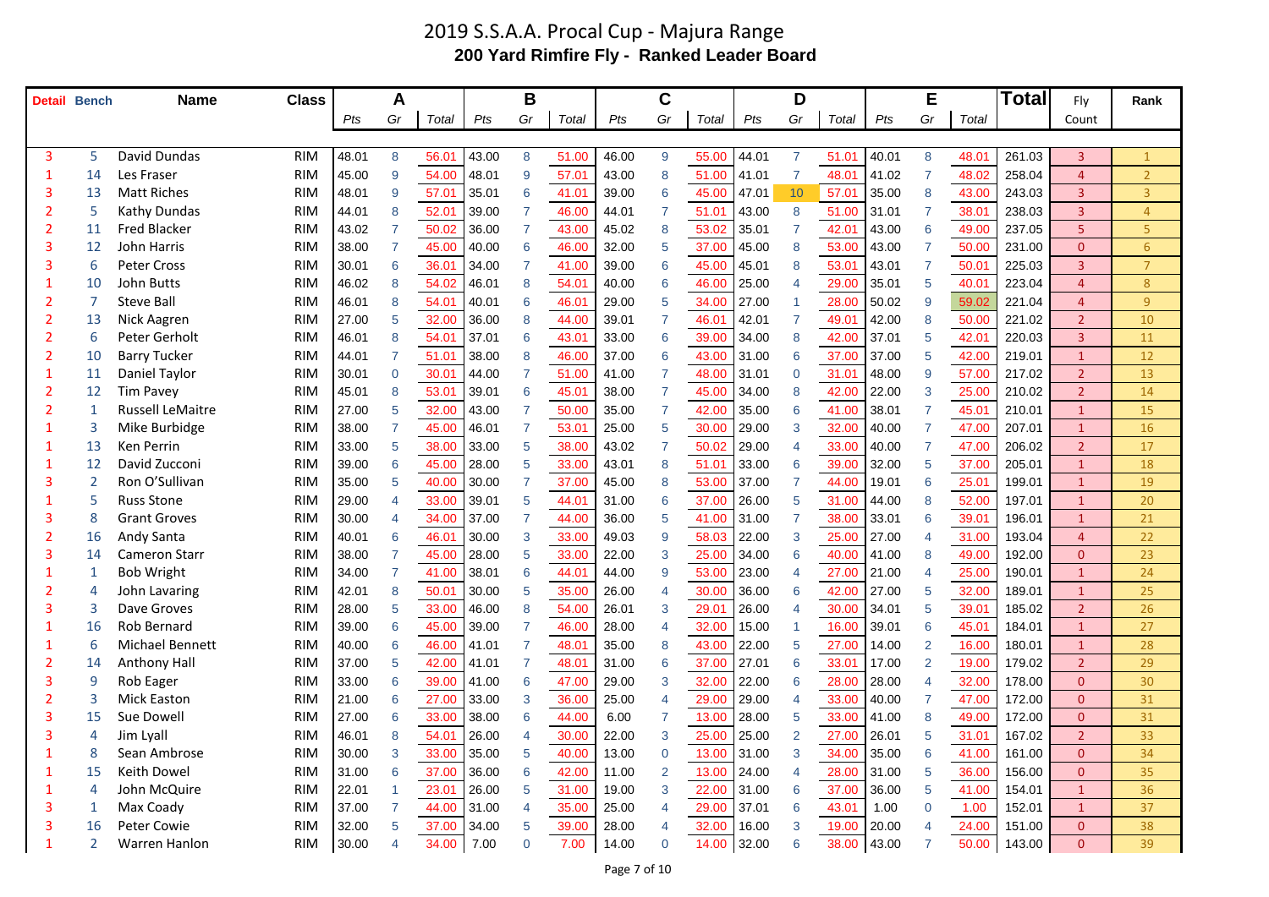### 2019 S.S.A.A. Procal Cup - Majura Range **200 Yard Rimfire Fly - Ranked Leader Board**

| <b>Detail Bench</b> |    | <b>Name</b>             | <b>Class</b> |       | A                        |                |       | B               |       |       | C              |             |         | D              |                |       | E              |       | <b>Total</b> | Fly            | Rank           |
|---------------------|----|-------------------------|--------------|-------|--------------------------|----------------|-------|-----------------|-------|-------|----------------|-------------|---------|----------------|----------------|-------|----------------|-------|--------------|----------------|----------------|
|                     |    |                         |              | Pts   | Gr                       | Total          | Pts   | Gr              | Total | Pts   | Gr             | Total       | Pts     | Gr             | Total          | Pts   | Gr             | Total |              | Count          |                |
|                     |    |                         |              |       |                          |                |       |                 |       |       |                |             |         |                |                |       |                |       |              |                |                |
| 3                   | 5  | <b>David Dundas</b>     | <b>RIM</b>   | 48.01 | 8                        | 56.01          | 43.00 | 8               | 51.00 | 46.00 | 9              | 55.00       | 44.01   | $\overline{7}$ | 51.01          | 40.01 | 8              | 48.01 | 261.03       | $\overline{3}$ | $\overline{1}$ |
|                     | 14 | Les Fraser              | <b>RIM</b>   | 45.00 | 9                        | 54.00          | 48.01 | 9               | 57.01 | 43.00 | 8              | 51.00       | 41.01   | $\overline{7}$ | $48.0^{\circ}$ | 41.02 |                | 48.02 | 258.04       | 4              | 2 <sup>2</sup> |
|                     | 13 | <b>Matt Riches</b>      | <b>RIM</b>   | 48.01 | 9                        | 57.01          | 35.01 | 6               | 41.01 | 39.00 | 6              | 45.00       | 47.01   | 10             | 57.01          | 35.00 | 8              | 43.00 | 243.03       | $\overline{3}$ | 3 <sup>1</sup> |
|                     |    | Kathy Dundas            | <b>RIM</b>   | 44.01 | 8                        | 52.01          | 39.00 |                 | 46.00 | 44.01 |                | 51.01       | 43.00   | 8              | 51.00          | 31.01 |                | 38.01 | 238.03       | 3              | 4              |
|                     | 11 | <b>Fred Blacker</b>     | <b>RIM</b>   | 43.02 |                          | 50.02          | 36.00 |                 | 43.00 | 45.02 | 8              | 53.02       | 35.01   |                | $42.0^{\circ}$ | 43.00 | 6              | 49.00 | 237.05       | 5              | 5              |
| 3                   | 12 | John Harris             | <b>RIM</b>   | 38.00 |                          | 45.00          | 40.00 | 6               | 46.00 | 32.00 | 5              | 37.00       | 45.00   | 8              | 53.00          | 43.00 |                | 50.00 | 231.00       | $\overline{0}$ | $6\phantom{1}$ |
|                     | 6  | <b>Peter Cross</b>      | <b>RIM</b>   | 30.01 | 6                        | 36.01          | 34.00 |                 | 41.00 | 39.00 | 6              | 45.00       | 45.01   | 8              | 53.01          | 43.01 |                | 50.01 | 225.03       | $\overline{3}$ | $\overline{7}$ |
|                     | 10 | John Butts              | <b>RIM</b>   | 46.02 | 8                        | 54.02          | 46.01 | 8               | 54.01 | 40.00 | 6              | 46.00       | 25.00   |                | 29.00          | 35.01 | 5              | 40.01 | 223.04       | $\overline{4}$ | 8              |
|                     |    | <b>Steve Ball</b>       | <b>RIM</b>   | 46.01 | 8                        | 54.01          | 40.01 |                 | 46.01 | 29.00 | 5              | 34.00       | 27.00   |                | 28.00          | 50.02 | 9              | 59.02 | 221.04       | 4              | 9              |
|                     | 13 | Nick Aagren             | <b>RIM</b>   | 27.00 | 5                        | 32.00          | 36.00 | 8               | 44.00 | 39.01 |                | 46.01       | 42.01   |                | 49.01          | 42.00 | 8              | 50.00 | 221.02       | $\overline{2}$ | 10             |
|                     | 6  | Peter Gerholt           | <b>RIM</b>   | 46.01 | 8                        | 54.01          | 37.01 | 6               | 43.01 | 33.00 | 6              | 39.00       | 34.00   | 8              | 42.00          | 37.01 | 5              | 42.01 | 220.03       | $\overline{3}$ | 11             |
|                     | 10 | <b>Barry Tucker</b>     | <b>RIM</b>   | 44.01 | 7                        | 51.01          | 38.00 | 8               | 46.00 | 37.00 | 6              | 43.00       | 31.00   | 6              | 37.00          | 37.00 | 5              | 42.00 | 219.01       | $\mathbf{1}$   | 12             |
|                     | 11 | Daniel Taylor           | <b>RIM</b>   | 30.01 | $\Omega$                 | 30.01          | 44.00 |                 | 51.00 | 41.00 |                | 48.00       | 31.01   | $\Omega$       | 31.01          | 48.00 | 9              | 57.00 | 217.02       | 2 <sup>1</sup> | 13             |
|                     | 12 | Tim Pavey               | <b>RIM</b>   | 45.01 | 8                        | $53.0^{\circ}$ | 39.01 | 6               | 45.01 | 38.00 |                | 45.00       | 34.00   | 8              | 42.00          | 22.00 | 3              | 25.00 | 210.02       | 2 <sup>1</sup> | 14             |
|                     |    | <b>Russell LeMaitre</b> | <b>RIM</b>   | 27.00 | 5                        | 32.00          | 43.00 |                 | 50.00 | 35.00 |                | 42.00       | 35.00   | 6              | 41.00          | 38.01 |                | 45.01 | 210.01       | $\mathbf{1}$   | 15             |
|                     |    | Mike Burbidge           | <b>RIM</b>   | 38.00 |                          | 45.00          | 46.01 | 7               | 53.01 | 25.00 | 5              | 30.00       | 29.00   | 3              | 32.00          | 40.00 |                | 47.00 | 207.01       | $\mathbf{1}$   | 16             |
|                     | 13 | <b>Ken Perrin</b>       | <b>RIM</b>   | 33.00 | 5                        | 38.00          | 33.00 | 5               | 38.00 | 43.02 |                | 50.02       | 29.00   |                | 33.00          | 40.00 |                | 47.00 | 206.02       | $\overline{2}$ | 17             |
|                     | 12 | David Zucconi           | <b>RIM</b>   | 39.00 | 6                        | 45.00          | 28.00 | 5               | 33.00 | 43.01 | 8              | 51.01       | 33.00   | 6              | 39.00          | 32.00 | 5              | 37.00 | 205.01       | $\mathbf{1}$   | 18             |
|                     |    | Ron O'Sullivan          | <b>RIM</b>   | 35.00 | 5                        | 40.00          | 30.00 |                 | 37.00 | 45.00 | 8              | 53.00       | 37.00   |                | 44.00          | 19.01 | 6              | 25.01 | 199.01       | $\mathbf{1}$   | 19             |
|                     | 5  | <b>Russ Stone</b>       | <b>RIM</b>   | 29.00 | $\boldsymbol{\varDelta}$ | 33.00          | 39.01 | 5               | 44.01 | 31.00 | 6              | 37.00       | 26.00   | 5              | 31.00          | 44.00 | 8              | 52.00 | 197.01       | $\mathbf{1}$   | 20             |
|                     | 8  | <b>Grant Groves</b>     | <b>RIM</b>   | 30.00 |                          | 34.00          | 37.00 |                 | 44.00 | 36.00 | 5              | 41.00       | 31.00   |                | 38.00          | 33.01 | 6              | 39.01 | 196.01       | $\mathbf{1}$   | 21             |
|                     | 16 | Andy Santa              | <b>RIM</b>   | 40.01 | 6                        | 46.01          | 30.00 | 3               | 33.00 | 49.03 | $\mathbf{Q}$   | 58.03       | 22.00   | 3              | 25.00          | 27.00 |                | 31.00 | 193.04       | 4              | 22             |
| 3                   | 14 | <b>Cameron Starr</b>    | <b>RIM</b>   | 38.00 |                          | 45.00          | 28.00 | 5               | 33.00 | 22.00 | 3              | 25.00       | 34.00   | 6              | 40.00          | 41.00 | 8              | 49.00 | 192.00       | $\overline{0}$ | 23             |
|                     |    | <b>Bob Wright</b>       | <b>RIM</b>   | 34.00 | 7                        | 41.00          | 38.01 | 6               | 44.01 | 44.00 | 9              | 53.00       | 23.00   | 4              | 27.00          | 21.00 |                | 25.00 | 190.01       | $\mathbf{1}$   | 24             |
|                     |    | John Lavaring           | <b>RIM</b>   | 42.01 | 8                        | 50.01          | 30.00 | 5               | 35.00 | 26.00 | 4              | 30.00       | 36.00   | 6              | 42.00          | 27.00 | 5              | 32.00 | 189.01       | $\mathbf{1}$   | 25             |
|                     |    | Dave Groves             | <b>RIM</b>   | 28.00 |                          | 33.00          | 46.00 |                 | 54.00 | 26.01 | 3              | 29.01       | 26.00   |                | 30.00          | 34.01 |                | 39.01 | 185.02       | 2 <sup>1</sup> | 26             |
|                     | 16 | Rob Bernard             | <b>RIM</b>   | 39.00 | 6                        | 45.00          | 39.00 |                 | 46.00 | 28.00 |                | 32.00       | 15.00   |                | 16.00          | 39.01 | 6              | 45.01 | 184.01       |                | 27             |
|                     | 6  | Michael Bennett         | <b>RIM</b>   | 40.00 | 6                        | 46.00          | 41.01 |                 | 48.01 | 35.00 | 8              | 43.00       | 22.00   | 5              | 27.00          | 14.00 | $\overline{2}$ | 16.00 | 180.01       | $\mathbf{1}$   | 28             |
|                     | 14 | <b>Anthony Hall</b>     | <b>RIM</b>   | 37.00 | 5                        | 42.00          | 41.01 | $\overline{7}$  | 48.01 | 31.00 | 6              | 37.00       | 27.01   | 6              | 33.01          | 17.00 | $\overline{2}$ | 19.00 | 179.02       | 2 <sup>1</sup> | 29             |
|                     | 9  | Rob Eager               | <b>RIM</b>   | 33.00 | 6                        | 39.00          | 41.00 | $6\phantom{1}6$ | 47.00 | 29.00 | 3              | 32.00       | 22.00   | 6              | 28.00          | 28.00 | 4              | 32.00 | 178.00       | $\mathbf{0}$   | 30             |
|                     |    | <b>Mick Easton</b>      | <b>RIM</b>   | 21.00 | 6                        | 27.00          | 33.00 | 3               | 36.00 | 25.00 |                | 29.00       | 29.00   |                | 33.00          | 40.00 | $\overline{7}$ | 47.00 | 172.00       | $\overline{0}$ | 31             |
|                     | 15 | Sue Dowell              | <b>RIM</b>   | 27.00 | 6                        | 33.00          | 38.00 | 6               | 44.00 | 6.00  |                | 13.00       | 28.00   | 5              | 33.00          | 41.00 | 8              | 49.00 | 172.00       | $\overline{0}$ | 31             |
|                     | 4  | Jim Lyall               | <b>RIM</b>   | 46.01 | 8                        | 54.01          | 26.00 | 4               | 30.00 | 22.00 | 3              | 25.00       | 25.00   | $\overline{2}$ | 27.00          | 26.01 | 5              | 31.01 | 167.02       | 2 <sup>1</sup> | 33             |
|                     | 8  | Sean Ambrose            | <b>RIM</b>   | 30.00 | 3                        | 33.00          | 35.00 | 5               | 40.00 | 13.00 | $\Omega$       | 13.00       | 31.00   | 3              | 34.00          | 35.00 | 6              | 41.00 | 161.00       | $\overline{0}$ | 34             |
|                     | 15 | Keith Dowel             | <b>RIM</b>   | 31.00 | 6                        | 37.00          | 36.00 | 6               | 42.00 | 11.00 | $\overline{2}$ | 13.00       | $24.00$ |                | 28.00          | 31.00 | 5              | 36.00 | 156.00       | $\overline{0}$ | 35             |
|                     |    | John McQuire            | <b>RIM</b>   | 22.01 |                          | 23.01          | 26.00 | 5               | 31.00 | 19.00 | 3              | 22.00       | 31.00   |                | 37.00          | 36.00 | 5              | 41.00 | 154.01       | $\mathbf{1}$   | 36             |
|                     |    | Max Coady               | <b>RIM</b>   | 37.00 | 7                        | 44.00          | 31.00 | 4               | 35.00 | 25.00 | 4              | 29.00       | 37.01   |                | 43.01          | 1.00  | $\mathbf 0$    | 1.00  | 152.01       | $\mathbf{1}$   | 37             |
| 3                   | 16 | Peter Cowie             | <b>RIM</b>   | 32.00 | 5                        | 37.00          | 34.00 | $\overline{5}$  | 39.00 | 28.00 | 4              | 32.00       | 16.00   | 3              | 19.00          | 20.00 | 4              | 24.00 | 151.00       | $\mathbf{0}$   | 38             |
|                     |    | Warren Hanlon           | <b>RIM</b>   | 30.00 | $\overline{4}$           | 34.00          | 7.00  | $\overline{0}$  | 7.00  | 14.00 | 0              | 14.00 32.00 |         | 6              | 38.00 43.00    |       | $\mathbf{7}$   | 50.00 | 143.00       | $\mathbf{0}$   | 39             |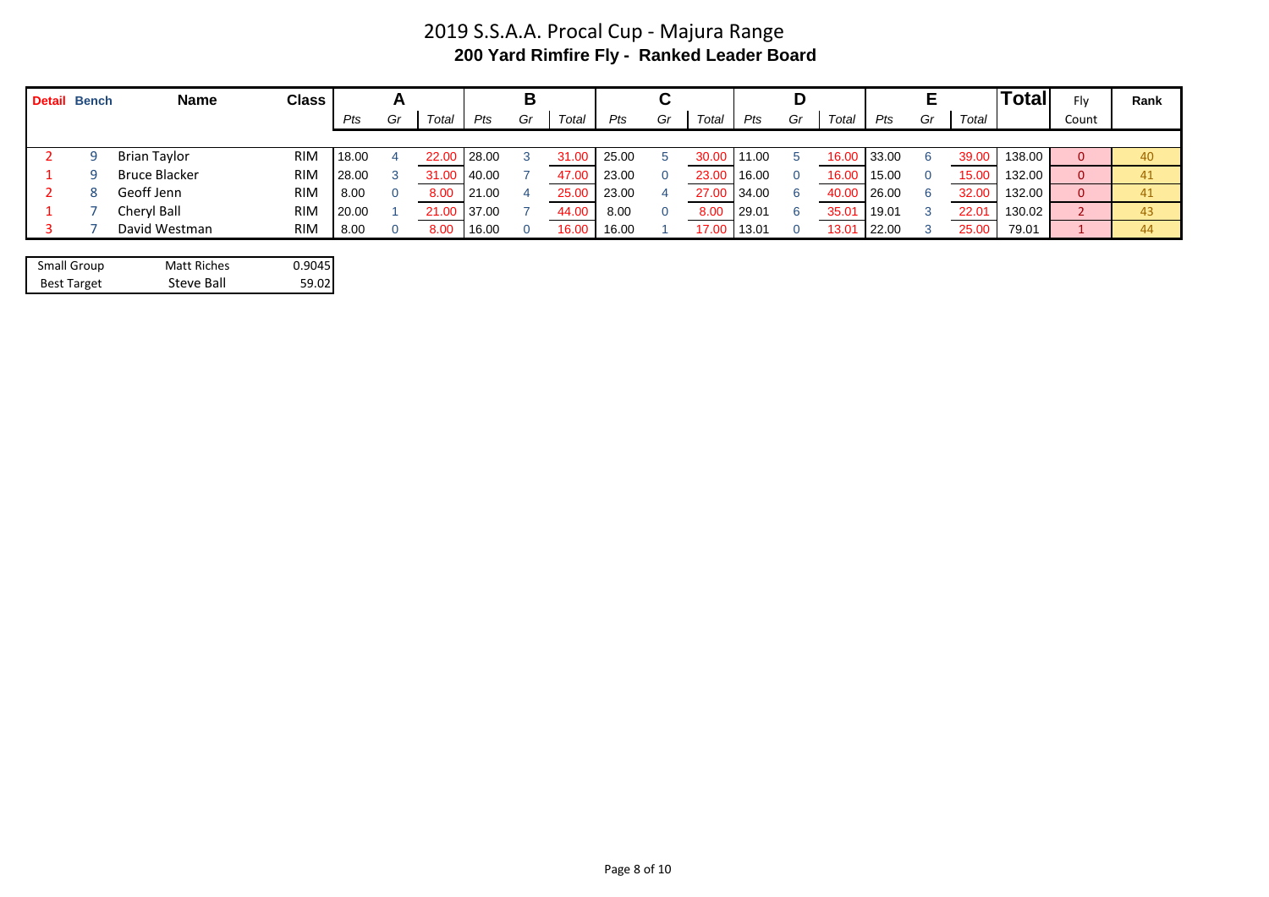## 2019 S.S.A.A. Procal Cup - Majura Range **200 Yard Rimfire Fly - Ranked Leader Board**

| <b>Detail Bench</b> |   | <b>Name</b>          | <b>Class</b> |       |    |       |       | В  |                   |       |    |       |       |    |                   |       | Ε  |                | <b>Total</b> | Fly   | Rank |
|---------------------|---|----------------------|--------------|-------|----|-------|-------|----|-------------------|-------|----|-------|-------|----|-------------------|-------|----|----------------|--------------|-------|------|
|                     |   |                      |              | Pts   | Gr | Total | Pts   | Gr | Total             | Pts   | Gr | Total | Pts   | Gr | Total             | Pts   | Gr | Total          |              | Count |      |
|                     |   |                      |              |       |    |       |       |    |                   |       |    |       |       |    |                   |       |    |                |              |       |      |
|                     | q | <b>Brian Taylor</b>  | <b>RIM</b>   | 18.00 |    | 22.00 | 28.00 | 3  | 31.0 <sub>C</sub> | 25.00 |    | 30.00 | 11.00 |    | 16.0              | 33.00 | 6  | 39.00          | 138.00       | 0     | 40   |
|                     | a | <b>Bruce Blacker</b> | <b>RIM</b>   | 28.00 |    | 31.00 | 40.00 |    | 47.00             | 23.00 |    | 23.00 | 16.00 |    | 16.0              | 15.00 |    | 15.00          | 132.00       | 0     | 41   |
|                     | 8 | Geoff Jenn           | <b>RIM</b>   | 8.00  |    | 8.00  | 21.00 | 4  | 25.00             | 23.00 |    | 27.00 | 34.00 |    | 40.0 <sup>c</sup> | 26.00 | 6. | 32.00          | 132.00       | 0     | 41   |
|                     |   | Cheryl Ball          | <b>RIM</b>   | 20.00 |    | 21.00 | 37.00 |    | 44.0              | 8.00  |    | 8.00  | 29.01 |    | 35.0              | 19.01 |    | $22.0^{\circ}$ | 130.02       |       | 43   |
|                     |   | David Westman        | <b>RIM</b>   | 8.00  |    | 8.00  | 16.00 |    | 16.00             | 16.00 |    | 17.00 | 13.01 |    | 13.01             | 22.00 |    | 25.00          | 79.01        |       | 44   |

| <b>Small Group</b> | <b>Matt Riches</b> | 0.9045 |
|--------------------|--------------------|--------|
| <b>Best Target</b> | Steve Ball         | 59.02  |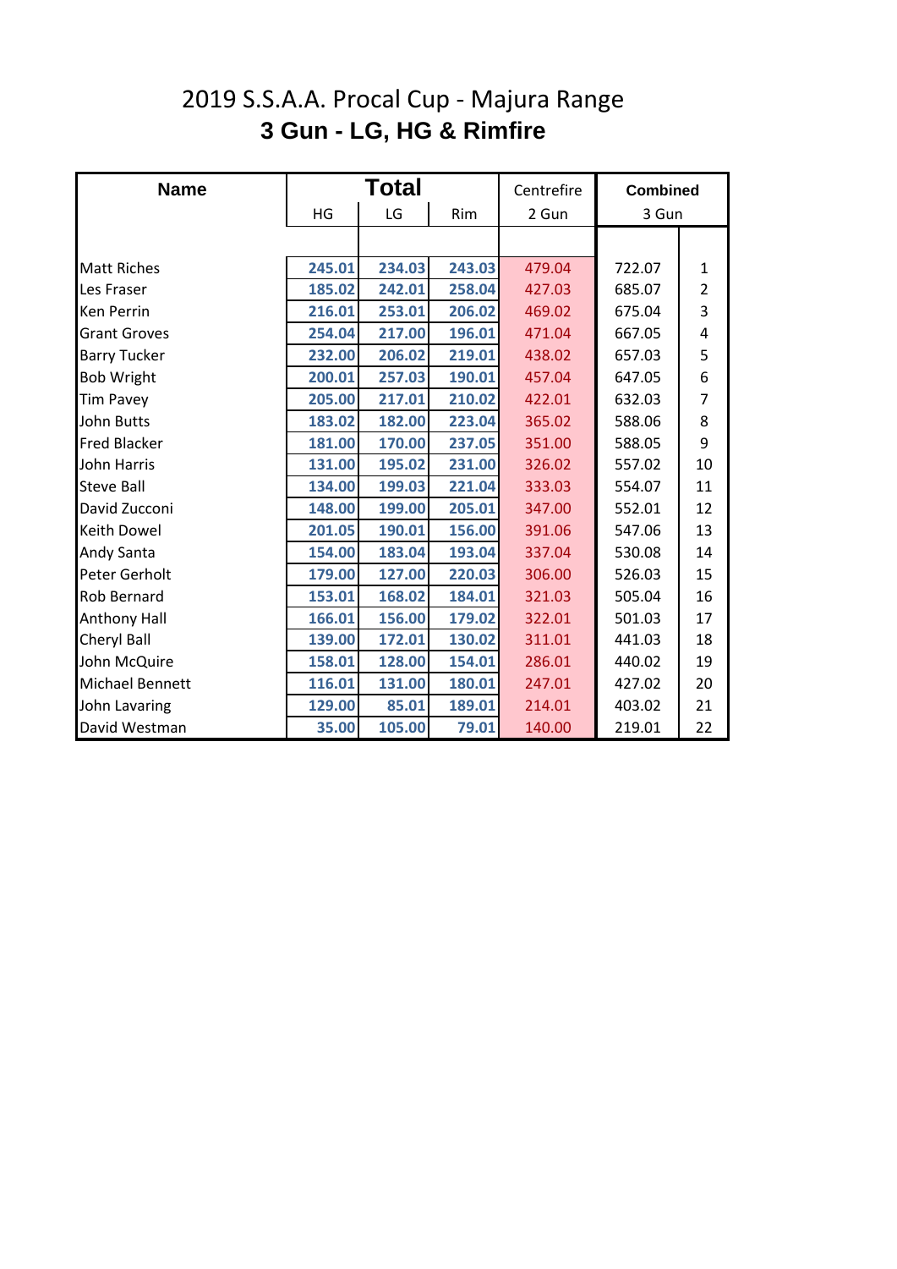# **3 Gun - LG, HG & Rimfire** 2019 S.S.A.A. Procal Cup - Majura Range

| <b>Name</b>            |        | <b>Total</b> |        | Centrefire | <b>Combined</b> |                |
|------------------------|--------|--------------|--------|------------|-----------------|----------------|
|                        | HG     | LG           | Rim    | 2 Gun      | 3 Gun           |                |
|                        |        |              |        |            |                 |                |
| <b>Matt Riches</b>     | 245.01 | 234.03       | 243.03 | 479.04     | 722.07          | 1              |
| Les Fraser             | 185.02 | 242.01       | 258.04 | 427.03     | 685.07          | $\overline{2}$ |
| <b>Ken Perrin</b>      | 216.01 | 253.01       | 206.02 | 469.02     | 675.04          | 3              |
| <b>Grant Groves</b>    | 254.04 | 217.00       | 196.01 | 471.04     | 667.05          | 4              |
| <b>Barry Tucker</b>    | 232.00 | 206.02       | 219.01 | 438.02     | 657.03          | 5              |
| <b>Bob Wright</b>      | 200.01 | 257.03       | 190.01 | 457.04     | 647.05          | 6              |
| <b>Tim Pavey</b>       | 205.00 | 217.01       | 210.02 | 422.01     | 632.03          | $\overline{7}$ |
| <b>John Butts</b>      | 183.02 | 182.00       | 223.04 | 365.02     | 588.06          | 8              |
| <b>Fred Blacker</b>    | 181.00 | 170.00       | 237.05 | 351.00     | 588.05          | 9              |
| <b>John Harris</b>     | 131.00 | 195.02       | 231.00 | 326.02     | 557.02          | 10             |
| <b>Steve Ball</b>      | 134.00 | 199.03       | 221.04 | 333.03     | 554.07          | 11             |
| David Zucconi          | 148.00 | 199.00       | 205.01 | 347.00     | 552.01          | 12             |
| <b>Keith Dowel</b>     | 201.05 | 190.01       | 156.00 | 391.06     | 547.06          | 13             |
| <b>Andy Santa</b>      | 154.00 | 183.04       | 193.04 | 337.04     | 530.08          | 14             |
| Peter Gerholt          | 179.00 | 127.00       | 220.03 | 306.00     | 526.03          | 15             |
| <b>Rob Bernard</b>     | 153.01 | 168.02       | 184.01 | 321.03     | 505.04          | 16             |
| <b>Anthony Hall</b>    | 166.01 | 156.00       | 179.02 | 322.01     | 501.03          | 17             |
| <b>Cheryl Ball</b>     | 139.00 | 172.01       | 130.02 | 311.01     | 441.03          | 18             |
| John McQuire           | 158.01 | 128.00       | 154.01 | 286.01     | 440.02          | 19             |
| <b>Michael Bennett</b> | 116.01 | 131.00       | 180.01 | 247.01     | 427.02          | 20             |
| John Lavaring          | 129.00 | 85.01        | 189.01 | 214.01     | 403.02          | 21             |
| David Westman          | 35.00  | 105.00       | 79.01  | 140.00     | 219.01          | 22             |